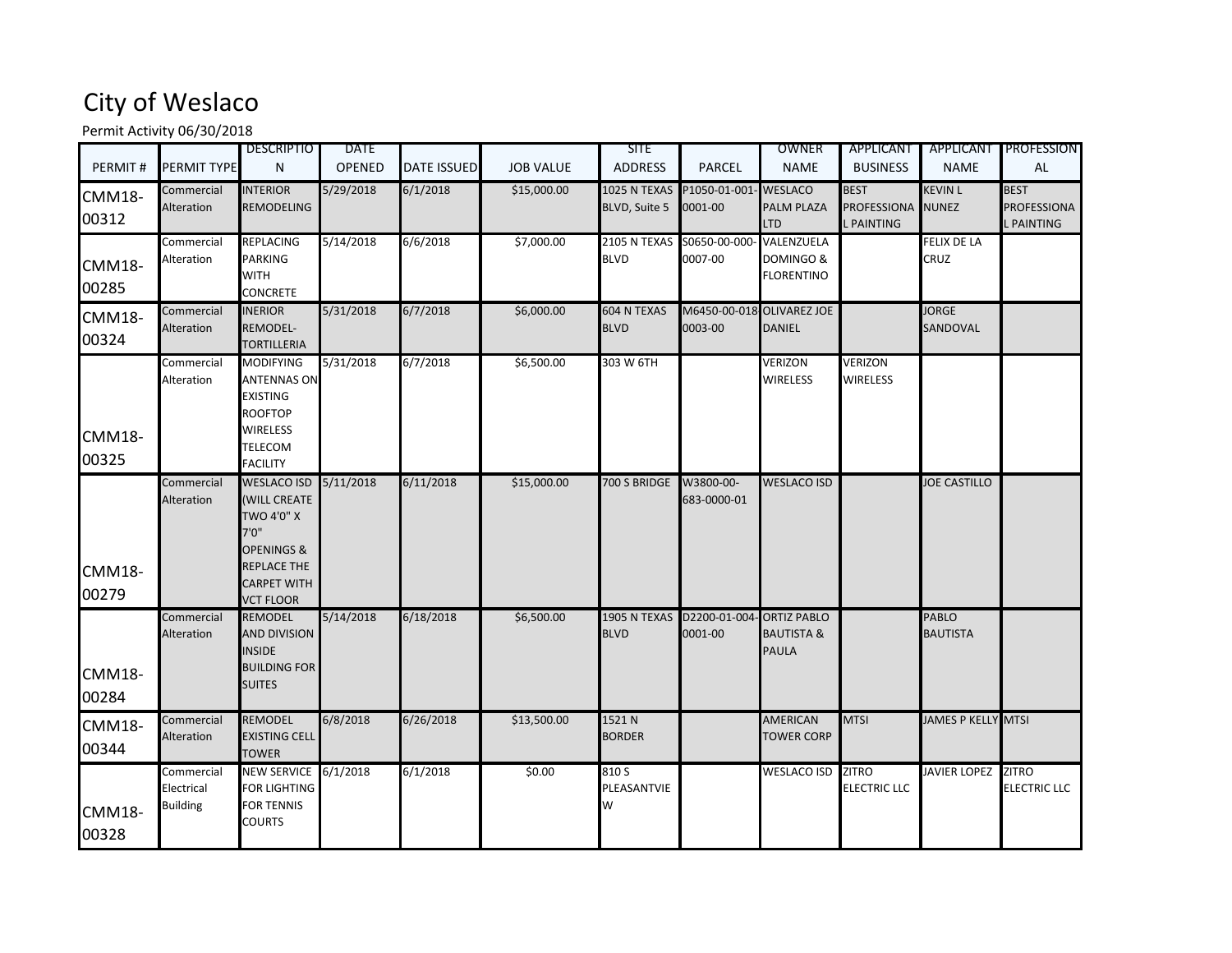## City of Weslaco

Permit Activity 06/30/2018

|                        |                                             | <b>DESCRIPTIO</b>                                                                                                                         | <b>DATE</b>   |                    |                  | <b>SITE</b>                          |                                  | OWNER                                                | APPLICANT                                       |                                 | APPLICANT PROFESSION                   |
|------------------------|---------------------------------------------|-------------------------------------------------------------------------------------------------------------------------------------------|---------------|--------------------|------------------|--------------------------------------|----------------------------------|------------------------------------------------------|-------------------------------------------------|---------------------------------|----------------------------------------|
| PERMIT#                | PERMIT TYPE                                 | N                                                                                                                                         | <b>OPENED</b> | <b>DATE ISSUED</b> | <b>JOB VALUE</b> | <b>ADDRESS</b>                       | <b>PARCEL</b>                    | <b>NAME</b>                                          | <b>BUSINESS</b>                                 | <b>NAME</b>                     | AL                                     |
| <b>CMM18-</b><br>00312 | Commercial<br>Alteration                    | <b>INTERIOR</b><br><b>REMODELING</b>                                                                                                      | 5/29/2018     | 6/1/2018           | \$15,000.00      | <b>1025 N TEXAS</b><br>BLVD, Suite 5 | P1050-01-001- WESLACO<br>0001-00 | <b>PALM PLAZA</b><br><b>LTD</b>                      | <b>BEST</b><br><b>PROFESSIONA</b><br>L PAINTING | <b>KEVIN L</b><br><b>NUNEZ</b>  | <b>BEST</b><br>PROFESSIONA<br>PAINTING |
| <b>CMM18-</b><br>00285 | Commercial<br>Alteration                    | <b>REPLACING</b><br><b>PARKING</b><br>WITH<br>CONCRETE                                                                                    | 5/14/2018     | 6/6/2018           | \$7,000.00       | 2105 N TEXAS<br><b>BLVD</b>          | S0650-00-000<br>0007-00          | VALENZUELA<br>DOMINGO &<br><b>FLORENTINO</b>         |                                                 | FELIX DE LA<br>CRUZ             |                                        |
| <b>CMM18-</b><br>00324 | Commercial<br><b>Alteration</b>             | <b>INERIOR</b><br><b>REMODEL-</b><br><b>TORTILLERIA</b>                                                                                   | 5/31/2018     | 6/7/2018           | \$6,000.00       | <b>604 N TEXAS</b><br><b>BLVD</b>    | 0003-00                          | M6450-00-018 OLIVAREZ JOE<br><b>DANIEL</b>           |                                                 | <b>JORGE</b><br>SANDOVAL        |                                        |
| <b>CMM18-</b><br>00325 | Commercial<br>Alteration                    | <b>MODIFYING</b><br><b>ANTENNAS ON</b><br><b>EXISTING</b><br><b>ROOFTOP</b><br>WIRELESS<br><b>TELECOM</b><br><b>FACILITY</b>              | 5/31/2018     | 6/7/2018           | \$6,500.00       | 303 W 6TH                            |                                  | <b>VERIZON</b><br><b>WIRELESS</b>                    | <b>VERIZON</b><br><b>WIRELESS</b>               |                                 |                                        |
| <b>CMM18-</b><br>00279 | Commercial<br>Alteration                    | WESLACO ISD 5/11/2018<br><b>WILL CREATE</b><br><b>TWO 4'0" X</b><br>7'0''<br>OPENINGS &<br>REPLACE THE<br>CARPET WITH<br><b>VCT FLOOR</b> |               | 6/11/2018          | \$15,000.00      | 700 S BRIDGE                         | W3800-00-<br>683-0000-01         | <b>WESLACO ISD</b>                                   |                                                 | <b>JOE CASTILLO</b>             |                                        |
| <b>CMM18-</b><br>00284 | Commercial<br>Alteration                    | <b>REMODEL</b><br><b>AND DIVISION</b><br><b>INSIDE</b><br><b>BUILDING FOR</b><br><b>SUITES</b>                                            | 5/14/2018     | 6/18/2018          | \$6,500.00       | 1905 N TEXAS<br><b>BLVD</b>          | D2200-01-004<br>0001-00          | <b>ORTIZ PABLO</b><br><b>BAUTISTA &amp;</b><br>PAULA |                                                 | <b>PABLO</b><br><b>BAUTISTA</b> |                                        |
| <b>CMM18-</b><br>00344 | Commercial<br>Alteration                    | <b>REMODEL</b><br><b>EXISTING CELL</b><br><b>TOWER</b>                                                                                    | 6/8/2018      | 6/26/2018          | \$13,500.00      | 1521 N<br><b>BORDER</b>              |                                  | <b>AMERICAN</b><br><b>TOWER CORP</b>                 | <b>MTSI</b>                                     | JAMES P KELLY MTSI              |                                        |
| CMM18-<br>00328        | Commercial<br>Electrical<br><b>Building</b> | NEW SERVICE 6/1/2018<br>FOR LIGHTING<br><b>FOR TENNIS</b><br>COURTS                                                                       |               | 6/1/2018           | \$0.00           | 810 S<br>PLEASANTVIE<br>W            |                                  | <b>WESLACO ISD</b>                                   | <b>ZITRO</b><br><b>ELECTRIC LLC</b>             | <b>JAVIER LOPEZ</b>             | <b>ZITRO</b><br><b>ELECTRIC LLC</b>    |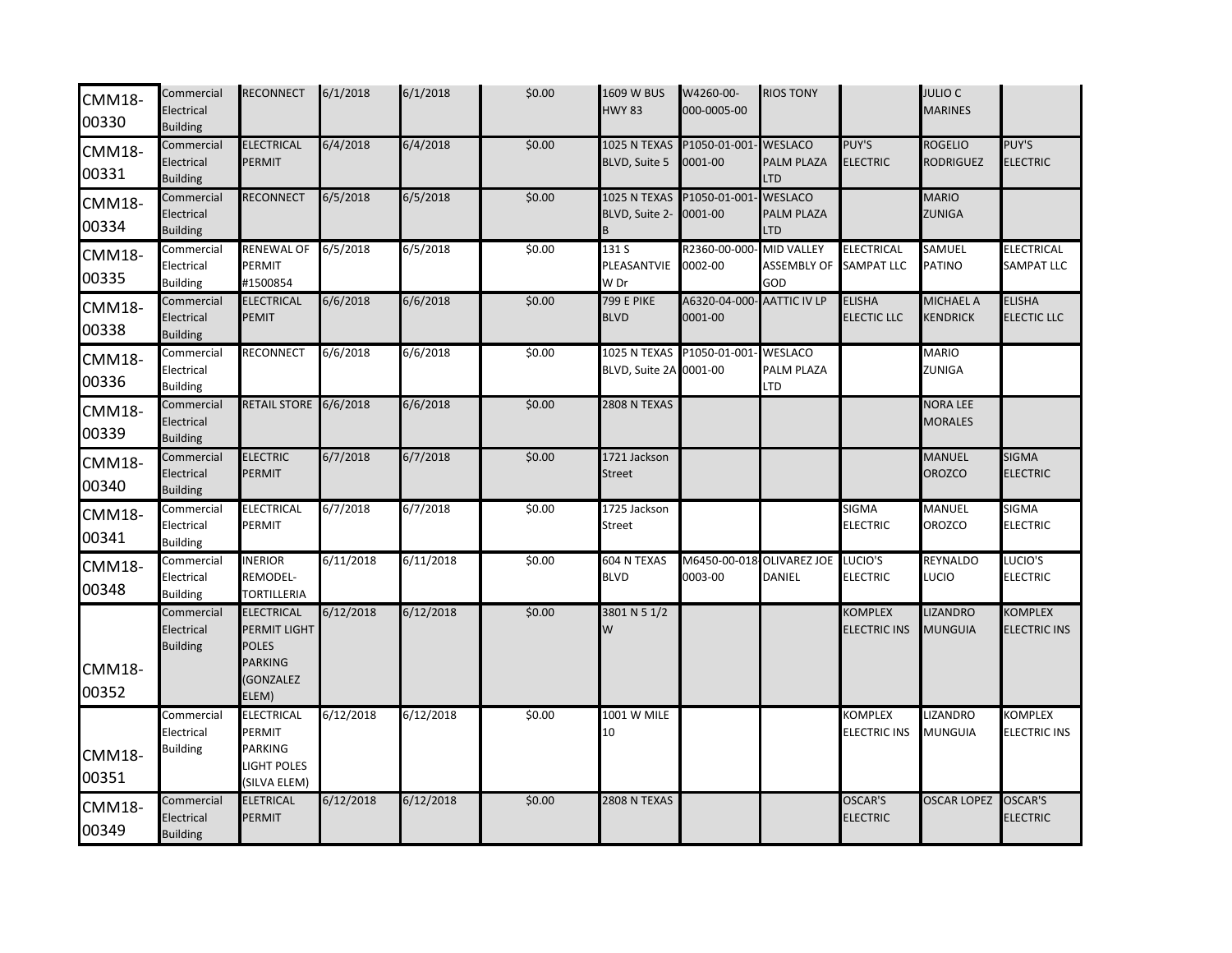| <b>CMM18-</b><br>00330 | Commercial<br>Electrical<br><b>Building</b> | <b>RECONNECT</b>                                                                          | 6/1/2018  | 6/1/2018  | \$0.00 | 1609 W BUS<br><b>HWY 83</b>                         | W4260-00-<br>000-0005-00             | <b>RIOS TONY</b>                               |                                   | <b>JULIO C</b><br><b>MARINES</b> |                                        |
|------------------------|---------------------------------------------|-------------------------------------------------------------------------------------------|-----------|-----------|--------|-----------------------------------------------------|--------------------------------------|------------------------------------------------|-----------------------------------|----------------------------------|----------------------------------------|
| <b>CMM18-</b><br>00331 | Commercial<br>Electrical<br><b>Building</b> | ELECTRICAL<br><b>PERMIT</b>                                                               | 6/4/2018  | 6/4/2018  | \$0.00 | 1025 N TEXAS<br>BLVD, Suite 5                       | P1050-01-001<br>0001-00              | <b>WESLACO</b><br>PALM PLAZA<br>LTD            | PUY'S<br><b>ELECTRIC</b>          | <b>ROGELIO</b><br>RODRIGUEZ      | PUY'S<br><b>ELECTRIC</b>               |
| <b>CMM18-</b><br>00334 | Commercial<br>Electrical<br><b>Building</b> | <b>RECONNECT</b>                                                                          | 6/5/2018  | 6/5/2018  | \$0.00 | 1025 N TEXAS<br>BLVD, Suite 2-<br>B                 | P1050-01-001<br>0001-00              | <b>WESLACO</b><br>PALM PLAZA<br><b>LTD</b>     |                                   | <b>MARIO</b><br>ZUNIGA           |                                        |
| <b>CMM18-</b><br>00335 | Commercial<br>Electrical<br><b>Building</b> | <b>RENEWAL OF</b><br>PERMIT<br>#1500854                                                   | 6/5/2018  | 6/5/2018  | \$0.00 | 131 S<br>PLEASANTVIE<br>W Dr                        | R2360-00-000<br>0002-00              | <b>MID VALLEY</b><br><b>ASSEMBLY OF</b><br>GOD | ELECTRICAL<br><b>SAMPAT LLC</b>   | SAMUEL<br>PATINO                 | <b>ELECTRICAL</b><br><b>SAMPAT LLC</b> |
| <b>CMM18-</b><br>00338 | Commercial<br>Electrical<br><b>Building</b> | <b>ELECTRICAL</b><br><b>PEMIT</b>                                                         | 6/6/2018  | 6/6/2018  | \$0.00 | <b>799 E PIKE</b><br><b>BLVD</b>                    | A6320-04-000<br>0001-00              | <b>AATTIC IV LP</b>                            | <b>ELISHA</b><br>ELECTIC LLC      | MICHAEL A<br>KENDRICK            | <b>ELISHA</b><br><b>ELECTIC LLC</b>    |
| <b>CMM18-</b><br>00336 | Commercial<br>Electrical<br><b>Building</b> | <b>RECONNECT</b>                                                                          | 6/6/2018  | 6/6/2018  | \$0.00 | 1025 N TEXAS P1050-01-001<br>BLVD, Suite 2A 0001-00 |                                      | <b>WESLACO</b><br>PALM PLAZA<br>LTD            |                                   | MARIO<br>ZUNIGA                  |                                        |
| <b>CMM18-</b><br>00339 | Commercial<br>Electrical<br><b>Building</b> | RETAIL STORE 6/6/2018                                                                     |           | 6/6/2018  | \$0.00 | <b>2808 N TEXAS</b>                                 |                                      |                                                |                                   | NORA LEE<br><b>MORALES</b>       |                                        |
| <b>CMM18-</b><br>00340 | Commercial<br>Electrical<br><b>Building</b> | <b>ELECTRIC</b><br><b>PERMIT</b>                                                          | 6/7/2018  | 6/7/2018  | \$0.00 | 1721 Jackson<br><b>Street</b>                       |                                      |                                                |                                   | MANUEL<br>OROZCO                 | <b>SIGMA</b><br><b>ELECTRIC</b>        |
| <b>CMM18-</b><br>00341 | Commercial<br>Electrical<br><b>Building</b> | <b>ELECTRICAL</b><br>PERMIT                                                               | 6/7/2018  | 6/7/2018  | \$0.00 | 1725 Jackson<br><b>Street</b>                       |                                      |                                                | SIGMA<br>ELECTRIC                 | <b>MANUEL</b><br>OROZCO          | <b>SIGMA</b><br><b>ELECTRIC</b>        |
| <b>CMM18-</b><br>00348 | Commercial<br>Electrical<br><b>Building</b> | <b>INERIOR</b><br><b>REMODEL-</b><br><b>TORTILLERIA</b>                                   | 6/11/2018 | 6/11/2018 | \$0.00 | 604 N TEXAS<br><b>BLVD</b>                          | M6450-00-018 OLIVAREZ JOE<br>0003-00 | DANIEL                                         | LUCIO'S<br><b>ELECTRIC</b>        | REYNALDO<br>LUCIO                | LUCIO'S<br><b>ELECTRIC</b>             |
| <b>CMM18-</b><br>00352 | Commercial<br>Electrical<br><b>Building</b> | <b>ELECTRICAL</b><br>PERMIT LIGHT<br><b>POLES</b><br><b>PARKING</b><br>(GONZALEZ<br>ELEM) | 6/12/2018 | 6/12/2018 | \$0.00 | 3801 N 5 1/2<br>W                                   |                                      |                                                | KOMPLEX<br><b>ELECTRIC INS</b>    | <b>IZANDRO</b><br>MUNGUIA        | <b>KOMPLEX</b><br><b>ELECTRIC INS</b>  |
| <b>CMM18-</b><br>00351 | Commercial<br>Electrical<br><b>Building</b> | ELECTRICAL<br>PERMIT<br><b>PARKING</b><br><b>LIGHT POLES</b><br>(SILVA ELEM)              | 6/12/2018 | 6/12/2018 | \$0.00 | 1001 W MILE<br>10                                   |                                      |                                                | <b>COMPLEX</b><br>ELECTRIC INS    | <b>LIZANDRO</b><br>MUNGUIA       | <b>COMPLEX</b><br><b>ELECTRIC INS</b>  |
| <b>CMM18-</b><br>00349 | Commercial<br>Electrical<br><b>Building</b> | <b>ELETRICAL</b><br><b>PERMIT</b>                                                         | 6/12/2018 | 6/12/2018 | \$0.00 | <b>2808 N TEXAS</b>                                 |                                      |                                                | <b>OSCAR'S</b><br><b>ELECTRIC</b> | <b>OSCAR LOPEZ</b>               | <b>OSCAR'S</b><br><b>ELECTRIC</b>      |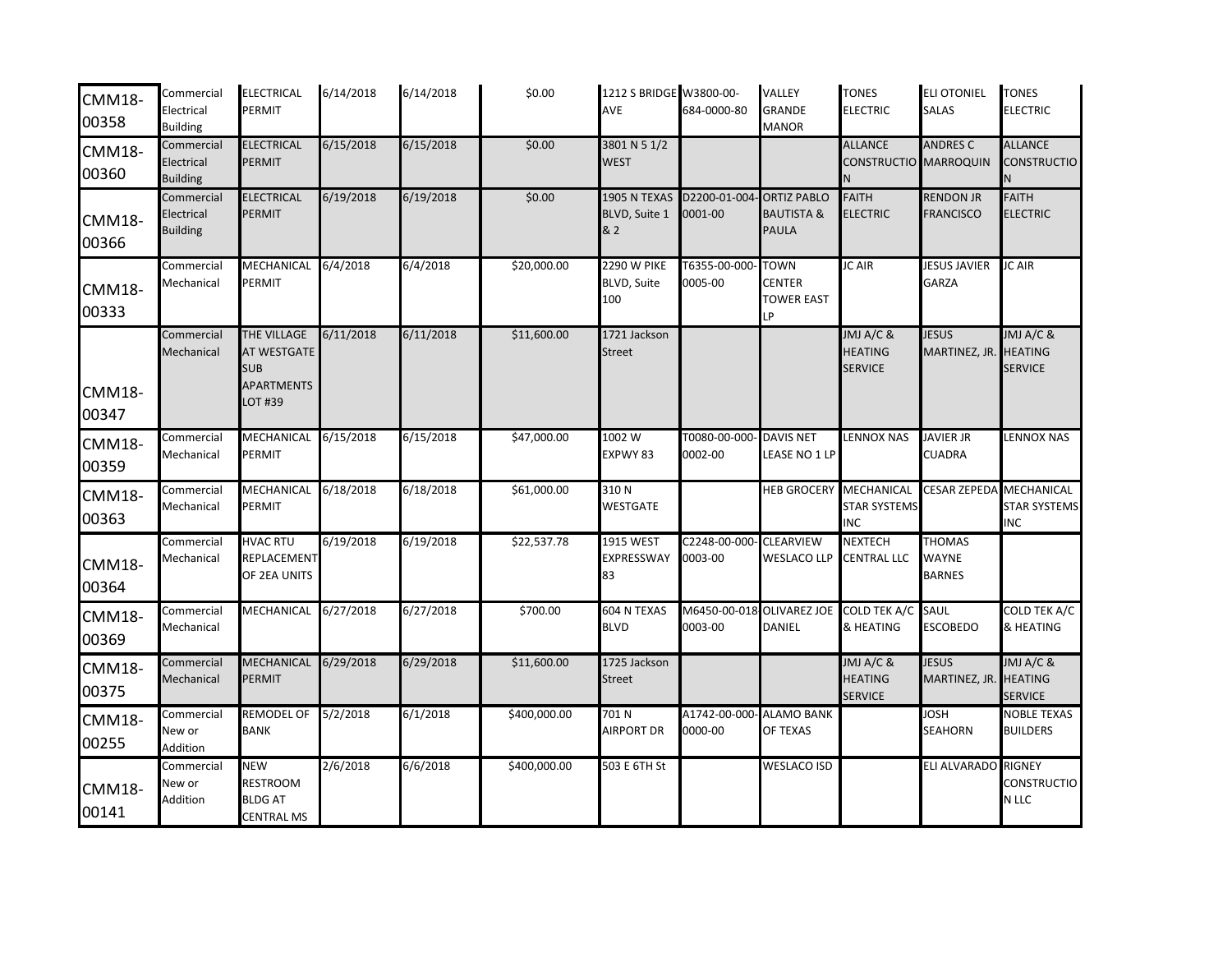| <b>CMM18-</b><br>00358 | Commercial<br>Electrical<br><b>Building</b> | <b>ELECTRICAL</b><br>PERMIT                                             | 6/14/2018 | 6/14/2018 | \$0.00       | 1212 S BRIDGE W3800-00-<br>AVE           | 684-0000-80              | <b>VALLEY</b><br><b>GRANDE</b><br><b>MANOR</b>              | <b>TONES</b><br><b>ELECTRIC</b>                          | <b>ELI OTONIEL</b><br><b>SALAS</b>             | <b>TONES</b><br><b>ELECTRIC</b>                        |
|------------------------|---------------------------------------------|-------------------------------------------------------------------------|-----------|-----------|--------------|------------------------------------------|--------------------------|-------------------------------------------------------------|----------------------------------------------------------|------------------------------------------------|--------------------------------------------------------|
| <b>CMM18-</b><br>00360 | Commercial<br>Electrical<br><b>Building</b> | <b>ELECTRICAL</b><br><b>PERMIT</b>                                      | 6/15/2018 | 6/15/2018 | \$0.00       | 3801 N 5 1/2<br><b>WEST</b>              |                          |                                                             | <b>ALLANCE</b><br>CONSTRUCTIO MARROQUIN                  | <b>ANDRES C</b>                                | <b>ALLANCE</b><br>CONSTRUCTIO                          |
| <b>CMM18-</b><br>00366 | Commercial<br>Electrical<br><b>Building</b> | <b>ELECTRICAL</b><br><b>PERMIT</b>                                      | 6/19/2018 | 6/19/2018 | \$0.00       | 1905 N TEXAS<br>BLVD, Suite 1<br>& 2     | D2200-01-004<br>0001-00  | <b>ORTIZ PABLO</b><br><b>BAUTISTA &amp;</b><br><b>PAULA</b> | <b>FAITH</b><br><b>ELECTRIC</b>                          | <b>RENDON JR</b><br><b>FRANCISCO</b>           | <b>FAITH</b><br><b>ELECTRIC</b>                        |
| <b>CMM18-</b><br>00333 | Commercial<br>Mechanical                    | MECHANICAL<br>PERMIT                                                    | 6/4/2018  | 6/4/2018  | \$20,000.00  | <b>2290 W PIKE</b><br>BLVD, Suite<br>100 | T6355-00-000<br>0005-00  | <b>TOWN</b><br><b>CENTER</b><br><b>TOWER EAST</b><br>LP     | JC AIR                                                   | <b>JESUS JAVIER</b><br><b>GARZA</b>            | JC AIR                                                 |
| <b>CMM18-</b><br>00347 | Commercial<br>Mechanical                    | THE VILLAGE<br>AT WESTGATE<br><b>SUB</b><br><b>APARTMENTS</b><br>OT #39 | 6/11/2018 | 6/11/2018 | \$11,600.00  | 1721 Jackson<br><b>Street</b>            |                          |                                                             | JMJ A/C &<br><b>HEATING</b><br><b>SERVICE</b>            | <b>JESUS</b><br>MARTINEZ, JR.                  | JMJ A/C &<br><b>HEATING</b><br><b>SERVICE</b>          |
| <b>CMM18-</b><br>00359 | Commercial<br>Mechanical                    | MECHANICAL 6/15/2018<br>PERMIT                                          |           | 6/15/2018 | \$47,000.00  | 1002W<br>EXPWY 83                        | T0080-00-000<br>0002-00  | <b>DAVIS NET</b><br>LEASE NO 1 LP                           | <b>LENNOX NAS</b>                                        | <b>JAVIER JR</b><br><b>CUADRA</b>              | <b>ENNOX NAS</b>                                       |
| <b>CMM18-</b><br>00363 | Commercial<br>Mechanical                    | MECHANICAL 6/18/2018<br><b>PERMIT</b>                                   |           | 6/18/2018 | \$61,000.00  | 310N<br><b>WESTGATE</b>                  |                          | <b>HEB GROCERY MECHANICAL</b>                               | <b>STAR SYSTEMS</b><br><b>INC</b>                        | <b>CESAR ZEPEDA</b>                            | <b>MECHANICAL</b><br><b>STAR SYSTEMS</b><br><b>INC</b> |
| <b>CMM18-</b><br>00364 | Commercial<br>Mechanical                    | <b>HVAC RTU</b><br>REPLACEMENT<br>OF 2EA UNITS                          | 6/19/2018 | 6/19/2018 | \$22,537.78  | <b>1915 WEST</b><br>EXPRESSWAY<br>83     | C2248-00-000-<br>0003-00 | <b>CLEARVIEW</b><br><b>WESLACO LLP</b>                      | <b>NEXTECH</b><br><b>CENTRAL LLC</b>                     | <b>THOMAS</b><br><b>WAYNE</b><br><b>BARNES</b> |                                                        |
| <b>CMM18-</b><br>00369 | Commercial<br>Mechanical                    | MECHANICAL 6/27/2018                                                    |           | 6/27/2018 | \$700.00     | 604 N TEXAS<br><b>BLVD</b>               | 0003-00                  | <b>DANIEL</b>                                               | M6450-00-018 OLIVAREZ JOE COLD TEK A/C SAUL<br>& HEATING | <b>ESCOBEDO</b>                                | <b>COLD TEK A/C</b><br>& HEATING                       |
| <b>CMM18-</b><br>00375 | Commercial<br>Mechanical                    | MECHANICAL<br>PERMIT                                                    | 6/29/2018 | 6/29/2018 | \$11,600.00  | 1725 Jackson<br><b>Street</b>            |                          |                                                             | JMJ A/C &<br><b>HEATING</b><br><b>SERVICE</b>            | <b>JESUS</b><br>MARTINEZ, JR.                  | JMJ A/C &<br><b>HEATING</b><br><b>SERVICE</b>          |
| <b>CMM18-</b><br>00255 | Commercial<br>New or<br>Addition            | REMODEL OF 5/2/2018<br>BANK                                             |           | 6/1/2018  | \$400,000.00 | 701N<br>AIRPORT DR                       | 0000-00                  | A1742-00-000- ALAMO BANK<br>OF TEXAS                        |                                                          | <b>JOSH</b><br><b>SEAHORN</b>                  | <b>NOBLE TEXAS</b><br><b>BUILDERS</b>                  |
| <b>CMM18-</b><br>00141 | Commercial<br>New or<br>Addition            | <b>NEW</b><br><b>RESTROOM</b><br><b>BLDG AT</b><br><b>CENTRAL MS</b>    | 2/6/2018  | 6/6/2018  | \$400,000.00 | 503 E 6TH St                             |                          | <b>WESLACO ISD</b>                                          |                                                          | <b>ELI ALVARADO</b>                            | <b>RIGNEY</b><br>CONSTRUCTIO<br>N LLC                  |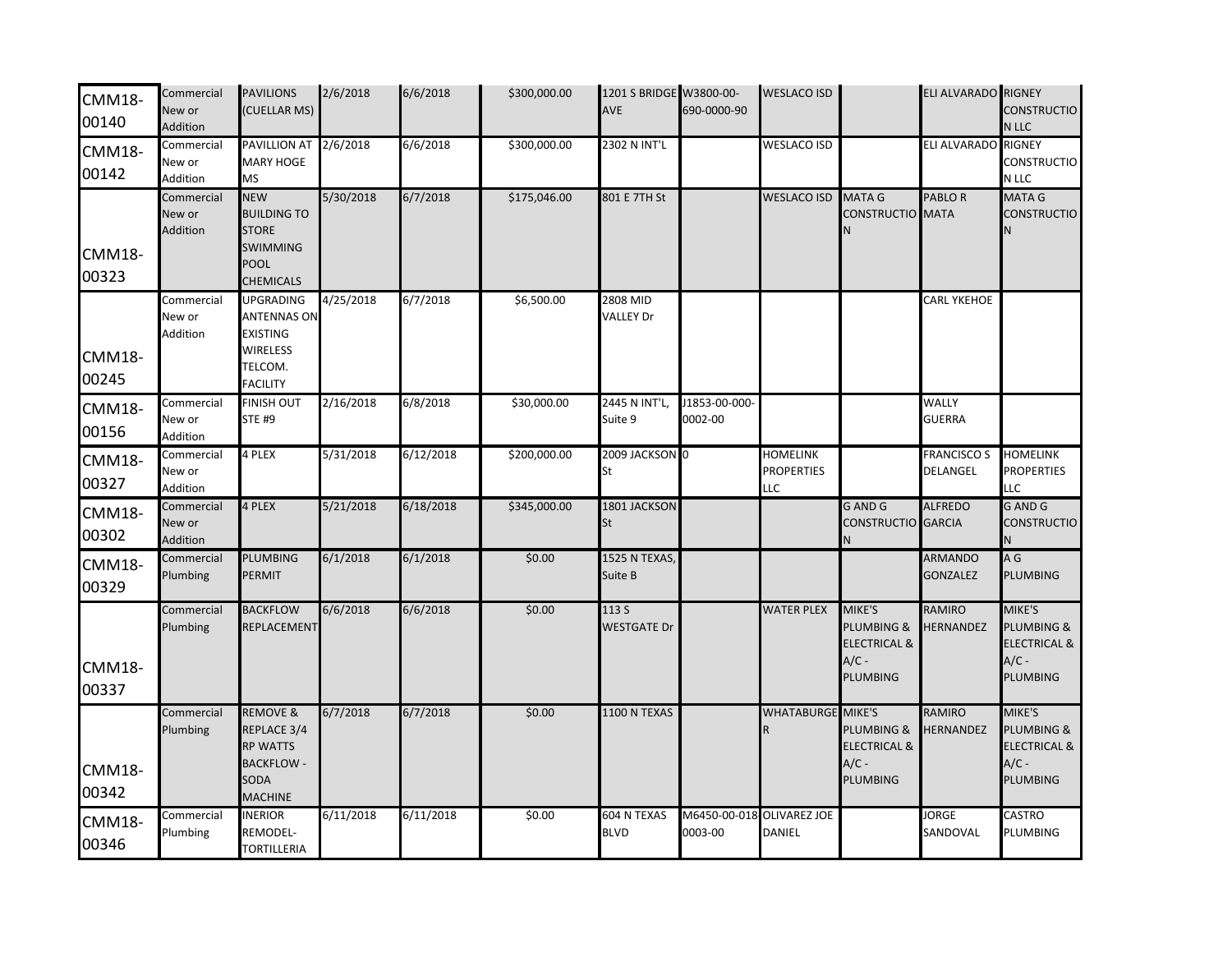| <b>CMM18-</b><br>00140 | Commercial<br>New or<br>Addition | <b>PAVILIONS</b><br>(CUELLAR MS)                                                                           | 2/6/2018  | 6/6/2018  | \$300,000.00 | 1201 S BRIDGE W3800-00-<br>AVE | 690-0000-90              | <b>WESLACO ISD</b>                          |                                                                        | ELI ALVARADO RIGNEY               | <b>CONSTRUCTIO</b><br>N LLC                                                              |
|------------------------|----------------------------------|------------------------------------------------------------------------------------------------------------|-----------|-----------|--------------|--------------------------------|--------------------------|---------------------------------------------|------------------------------------------------------------------------|-----------------------------------|------------------------------------------------------------------------------------------|
| <b>CMM18-</b><br>00142 | Commercial<br>New or<br>Addition | <b>PAVILLION AT</b><br>MARY HOGE<br>MS                                                                     | 2/6/2018  | 6/6/2018  | \$300,000.00 | 2302 N INT'L                   |                          | <b>WESLACO ISD</b>                          |                                                                        | ELI ALVARADO                      | <b>RIGNEY</b><br>CONSTRUCTIO<br>N LLC                                                    |
| <b>CMM18-</b><br>00323 | Commercial<br>New or<br>Addition | <b>NEW</b><br><b>BUILDING TO</b><br><b>STORE</b><br><b>SWIMMING</b><br><b>POOL</b><br><b>CHEMICALS</b>     | 5/30/2018 | 6/7/2018  | \$175,046.00 | 801 E 7TH St                   |                          | <b>WESLACO ISD</b>                          | <b>MATA G</b><br><b>CONSTRUCTIO</b>                                    | <b>PABLOR</b><br><b>MATA</b>      | <b>MATA G</b><br><b>CONSTRUCTIO</b><br>N                                                 |
| <b>CMM18-</b><br>00245 | Commercial<br>New or<br>Addition | <b>UPGRADING</b><br><b>ANTENNAS ON</b><br><b>EXISTING</b><br><b>WIRELESS</b><br>TELCOM.<br><b>FACILITY</b> | 4/25/2018 | 6/7/2018  | \$6,500.00   | 2808 MID<br><b>VALLEY Dr</b>   |                          |                                             |                                                                        | <b>CARL YKEHOE</b>                |                                                                                          |
| <b>CMM18-</b><br>00156 | Commercial<br>New or<br>Addition | <b>FINISH OUT</b><br><b>STE #9</b>                                                                         | 2/16/2018 | 6/8/2018  | \$30,000.00  | 2445 N INT'L<br>Suite 9        | J1853-00-000-<br>0002-00 |                                             |                                                                        | <b>WALLY</b><br><b>GUERRA</b>     |                                                                                          |
| <b>CMM18-</b><br>00327 | Commercial<br>New or<br>Addition | 4 PLEX                                                                                                     | 5/31/2018 | 6/12/2018 | \$200,000.00 | 2009 JACKSON 0<br>St           |                          | <b>HOMELINK</b><br><b>PROPERTIES</b><br>LLC |                                                                        | <b>FRANCISCO S</b><br>DELANGEL    | <b>HOMELINK</b><br><b>PROPERTIES</b><br>LLC                                              |
| <b>CMM18-</b><br>00302 | Commercial<br>New or<br>Addition | 4 PLEX                                                                                                     | 5/21/2018 | 6/18/2018 | \$345,000.00 | 1801 JACKSON<br>St             |                          |                                             | <b>GAND G</b><br>CONSTRUCTIO GARCIA                                    | <b>ALFREDO</b>                    | <b>GAND G</b><br><b>CONSTRUCTIO</b>                                                      |
| <b>CMM18-</b><br>00329 | Commercial<br>Plumbing           | PLUMBING<br>PERMIT                                                                                         | 6/1/2018  | 6/1/2018  | \$0.00       | 1525 N TEXAS,<br>Suite B       |                          |                                             |                                                                        | <b>ARMANDO</b><br><b>GONZALEZ</b> | A G<br>PLUMBING                                                                          |
| <b>CMM18-</b><br>00337 | Commercial<br>Plumbing           | <b>BACKFLOW</b><br>REPLACEMENT                                                                             | 6/6/2018  | 6/6/2018  | \$0.00       | 113 S<br><b>WESTGATE Dr</b>    |                          | <b>WATER PLEX</b>                           | MIKE'S<br>PLUMBING &<br><b>ELECTRICAL &amp;</b><br>$A/C -$<br>PLUMBING | RAMIRO<br>HERNANDEZ               | MIKE'S<br><b>PLUMBING &amp;</b><br><b>ELECTRICAL &amp;</b><br>$A/C -$<br><b>PLUMBING</b> |
| <b>CMM18-</b><br>00342 | Commercial<br>Plumbing           | <b>REMOVE &amp;</b><br>REPLACE 3/4<br><b>RP WATTS</b><br><b>BACKFLOW -</b><br>SODA<br><b>MACHINE</b>       | 6/7/2018  | 6/7/2018  | \$0.00       | 1100 N TEXAS                   |                          | <b>WHATABURGE MIKE'S</b><br>R               | PLUMBING &<br><b>ELECTRICAL &amp;</b><br>$A/C -$<br>PLUMBING           | <b>RAMIRO</b><br><b>HERNANDEZ</b> | MIKE'S<br>PLUMBING &<br><b>ELECTRICAL &amp;</b><br>$A/C -$<br><b>PLUMBING</b>            |
| <b>CMM18-</b><br>00346 | Commercial<br>Plumbing           | <b>INERIOR</b><br>REMODEL-<br><b>TORTILLERIA</b>                                                           | 6/11/2018 | 6/11/2018 | \$0.00       | 604 N TEXAS<br><b>BLVD</b>     | M6450-00-018<br>0003-00  | <b>OLIVAREZ JOE</b><br>DANIEL               |                                                                        | <b>JORGE</b><br>SANDOVAL          | CASTRO<br>PLUMBING                                                                       |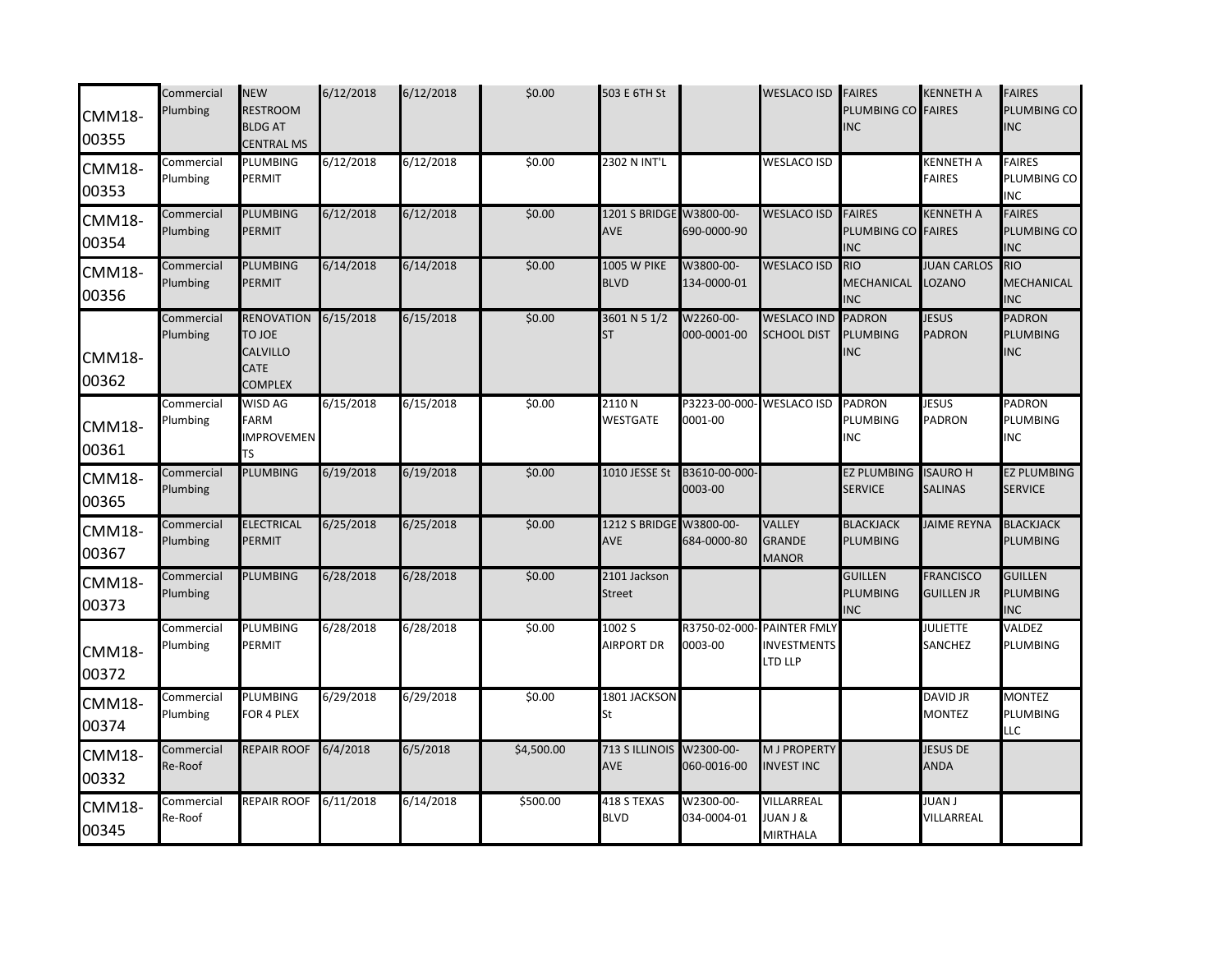| <b>CMM18-</b><br>00355 | Commercial<br>Plumbing | <b>NEW</b><br><b>RESTROOM</b><br><b>BLDG AT</b><br><b>CENTRAL MS</b>            | 6/12/2018 | 6/12/2018 | \$0.00     | 503 E 6TH St                      |                                      | <b>WESLACO ISD</b>                                   | <b>FAIRES</b><br>PLUMBING CO<br><b>NC</b>         | <b>KENNETH A</b><br><b>FAIRES</b>     | <b>FAIRES</b><br>PLUMBING CO<br><b>INC</b> |
|------------------------|------------------------|---------------------------------------------------------------------------------|-----------|-----------|------------|-----------------------------------|--------------------------------------|------------------------------------------------------|---------------------------------------------------|---------------------------------------|--------------------------------------------|
| <b>CMM18-</b><br>00353 | Commercial<br>Plumbing | PLUMBING<br>PERMIT                                                              | 6/12/2018 | 6/12/2018 | \$0.00     | 2302 N INT'L                      |                                      | <b>WESLACO ISD</b>                                   |                                                   | <b>KENNETH A</b><br><b>FAIRES</b>     | <b>FAIRES</b><br>PLUMBING CO<br><b>INC</b> |
| <b>CMM18-</b><br>00354 | Commercial<br>Plumbing | PLUMBING<br>PERMIT                                                              | 6/12/2018 | 6/12/2018 | \$0.00     | 1201 S BRIDGE<br>AVE              | W3800-00-<br>690-0000-90             | <b>WESLACO ISD</b>                                   | <b>FAIRES</b><br>PLUMBING CO FAIRES<br><b>INC</b> | <b>KENNETH A</b>                      | <b>FAIRES</b><br>PLUMBING CO<br><b>INC</b> |
| <b>CMM18-</b><br>00356 | Commercial<br>Plumbing | PLUMBING<br>PERMIT                                                              | 6/14/2018 | 6/14/2018 | \$0.00     | <b>1005 W PIKE</b><br><b>BLVD</b> | W3800-00-<br>134-0000-01             | <b>WESLACO ISD</b>                                   | <b>RIO</b><br>MECHANICAL<br><b>INC</b>            | <b>JUAN CARLOS</b><br>LOZANO          | <b>RIO</b><br>MECHANICAL<br><b>INC</b>     |
| <b>CMM18-</b><br>00362 | Commercial<br>Plumbing | <b>RENOVATION</b><br><b>TO JOE</b><br>CALVILLO<br><b>CATE</b><br><b>COMPLEX</b> | 6/15/2018 | 6/15/2018 | \$0.00     | 3601 N 5 1/2<br><b>ST</b>         | W2260-00-<br>000-0001-00             | <b>WESLACO IND</b><br><b>SCHOOL DIST</b>             | <b>PADRON</b><br><b>PLUMBING</b><br><b>INC</b>    | <b>JESUS</b><br>PADRON                | <b>PADRON</b><br>PLUMBING<br><b>INC</b>    |
| <b>CMM18-</b><br>00361 | Commercial<br>Plumbing | WISD AG<br><b>FARM</b><br><b>IMPROVEMEN</b><br>TS                               | 6/15/2018 | 6/15/2018 | \$0.00     | 2110N<br><b>WESTGATE</b>          | P3223-00-000- WESLACO ISD<br>0001-00 |                                                      | <b>PADRON</b><br>PLUMBING<br>INC                  | <b>JESUS</b><br>PADRON                | <b>PADRON</b><br>PLUMBING<br><b>INC</b>    |
| <b>CMM18-</b><br>00365 | Commercial<br>Plumbing | PLUMBING                                                                        | 6/19/2018 | 6/19/2018 | \$0.00     | 1010 JESSE St                     | B3610-00-000-<br>0003-00             |                                                      | <b>EZ PLUMBING</b><br><b>SERVICE</b>              | <b>ISAURO H</b><br><b>SALINAS</b>     | <b>EZ PLUMBING</b><br><b>SERVICE</b>       |
| <b>CMM18-</b><br>00367 | Commercial<br>Plumbing | <b>ELECTRICAL</b><br><b>PERMIT</b>                                              | 6/25/2018 | 6/25/2018 | \$0.00     | 1212 S BRIDGE<br>AVE              | W3800-00-<br>684-0000-80             | <b>VALLEY</b><br><b>GRANDE</b><br><b>MANOR</b>       | <b>BLACKJACK</b><br>PLUMBING                      | <b>JAIME REYNA</b>                    | <b>BLACKJACK</b><br>PLUMBING               |
| <b>CMM18-</b><br>00373 | Commercial<br>Plumbing | PLUMBING                                                                        | 6/28/2018 | 6/28/2018 | \$0.00     | 2101 Jackson<br><b>Street</b>     |                                      |                                                      | <b>GUILLEN</b><br>PLUMBING<br><b>INC</b>          | <b>FRANCISCO</b><br><b>GUILLEN JR</b> | <b>GUILLEN</b><br>PLUMBING<br><b>INC</b>   |
| <b>CMM18-</b><br>00372 | Commercial<br>Plumbing | PLUMBING<br>PERMIT                                                              | 6/28/2018 | 6/28/2018 | \$0.00     | 1002 S<br><b>AIRPORT DR</b>       | R3750-02-000<br>0003-00              | <b>PAINTER FMLY</b><br><b>INVESTMENTS</b><br>LTD LLP |                                                   | <b>JULIETTE</b><br>SANCHEZ            | <b>VALDEZ</b><br>PLUMBING                  |
| <b>CMM18-</b><br>00374 | Commercial<br>Plumbing | PLUMBING<br>FOR 4 PLEX                                                          | 6/29/2018 | 6/29/2018 | \$0.00     | 1801 JACKSON<br>St                |                                      |                                                      |                                                   | <b>DAVID JR</b><br><b>MONTEZ</b>      | <b>MONTEZ</b><br>PLUMBING<br><b>LLC</b>    |
| <b>CMM18-</b><br>00332 | Commercial<br>Re-Roof  | <b>REPAIR ROOF</b>                                                              | 6/4/2018  | 6/5/2018  | \$4,500.00 | 713 S ILLINOIS<br>AVE             | W2300-00-<br>060-0016-00             | <b>M J PROPERTY</b><br><b>INVEST INC</b>             |                                                   | <b>JESUS DE</b><br><b>ANDA</b>        |                                            |
| <b>CMM18-</b><br>00345 | Commercial<br>Re-Roof  | REPAIR ROOF                                                                     | 6/11/2018 | 6/14/2018 | \$500.00   | 418 S TEXAS<br><b>BLVD</b>        | W2300-00-<br>034-0004-01             | VILLARREAL<br><b>JUAN J &amp;</b><br><b>MIRTHALA</b> |                                                   | JUAN J<br>VILLARREAL                  |                                            |